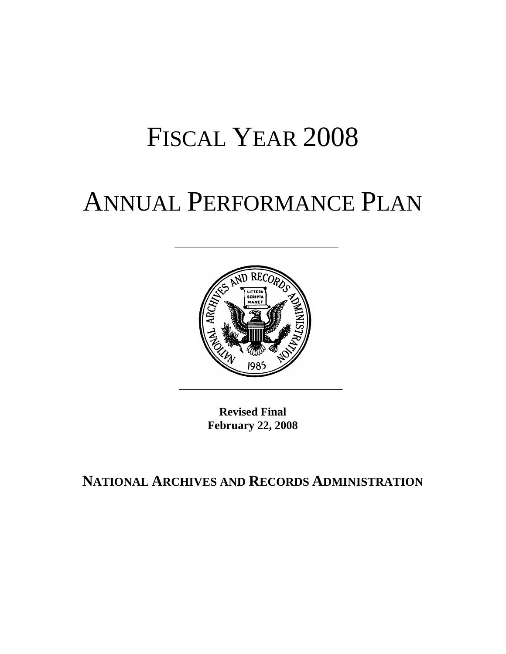## FISCAL YEAR 2008

## ANNUAL PERFORMANCE PLAN

\_\_\_\_\_\_\_\_\_\_\_\_\_\_\_\_\_\_\_\_\_\_\_\_\_\_\_\_\_\_\_\_\_



**Revised Final February 22, 2008** 

**NATIONAL ARCHIVES AND RECORDS ADMINISTRATION**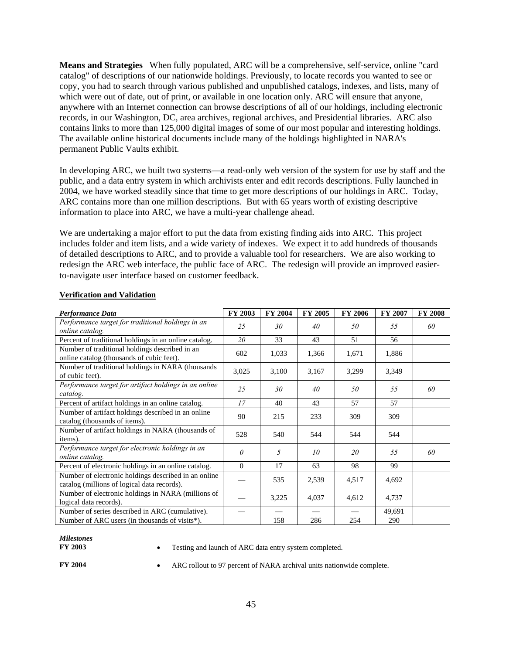**Means and Strategies** When fully populated, ARC will be a comprehensive, self-service, online "card catalog" of descriptions of our nationwide holdings. Previously, to locate records you wanted to see or copy, you had to search through various published and unpublished catalogs, indexes, and lists, many of which were out of date, out of print, or available in one location only. ARC will ensure that anyone, anywhere with an Internet connection can browse descriptions of all of our holdings, including electronic records, in our Washington, DC, area archives, regional archives, and Presidential libraries. ARC also contains links to more than 125,000 digital images of some of our most popular and interesting holdings. The available online historical documents include many of the holdings highlighted in NARA's permanent Public Vaults exhibit.

In developing ARC, we built two systems—a read-only web version of the system for use by staff and the public, and a data entry system in which archivists enter and edit records descriptions. Fully launched in 2004, we have worked steadily since that time to get more descriptions of our holdings in ARC. Today, ARC contains more than one million descriptions. But with 65 years worth of existing descriptive information to place into ARC, we have a multi-year challenge ahead.

We are undertaking a major effort to put the data from existing finding aids into ARC. This project includes folder and item lists, and a wide variety of indexes. We expect it to add hundreds of thousands of detailed descriptions to ARC, and to provide a valuable tool for researchers. We are also working to redesign the ARC web interface, the public face of ARC. The redesign will provide an improved easierto-navigate user interface based on customer feedback.

| <b>Performance Data</b>                                                                             | FY 2003      | FY 2004 | FY 2005 | FY 2006 | FY 2007 | <b>FY 2008</b> |
|-----------------------------------------------------------------------------------------------------|--------------|---------|---------|---------|---------|----------------|
| Performance target for traditional holdings in an<br>online catalog.                                | 25           | 30      | 40      | 50      | 55      | 60             |
| Percent of traditional holdings in an online catalog.                                               | 20           | 33      | 43      | 51      | 56      |                |
| Number of traditional holdings described in an<br>online catalog (thousands of cubic feet).         | 602          | 1,033   | 1,366   | 1,671   | 1,886   |                |
| Number of traditional holdings in NARA (thousands<br>of cubic feet).                                | 3,025        | 3,100   | 3,167   | 3,299   | 3,349   |                |
| Performance target for artifact holdings in an online<br>catalog.                                   | 25           | 30      | 40      | 50      | 55      | 60             |
| Percent of artifact holdings in an online catalog.                                                  | 17           | 40      | 43      | 57      | 57      |                |
| Number of artifact holdings described in an online<br>catalog (thousands of items).                 | 90           | 215     | 233     | 309     | 309     |                |
| Number of artifact holdings in NARA (thousands of<br>items).                                        | 528          | 540     | 544     | 544     | 544     |                |
| Performance target for electronic holdings in an<br>online catalog.                                 | $\theta$     | 5       | 10      | 20      | 55      | 60             |
| Percent of electronic holdings in an online catalog.                                                | $\mathbf{0}$ | 17      | 63      | 98      | 99      |                |
| Number of electronic holdings described in an online<br>catalog (millions of logical data records). |              | 535     | 2,539   | 4,517   | 4,692   |                |
| Number of electronic holdings in NARA (millions of<br>logical data records).                        |              | 3,225   | 4,037   | 4,612   | 4,737   |                |
| Number of series described in ARC (cumulative).                                                     |              |         |         |         | 49,691  |                |
| Number of ARC users (in thousands of visits*).                                                      |              | 158     | 286     | 254     | 290     |                |

## **Verification and Validation**

## *Milestones*

• Testing and launch of ARC data entry system completed.

**FY 2004** • ARC rollout to 97 percent of NARA archival units nationwide complete.